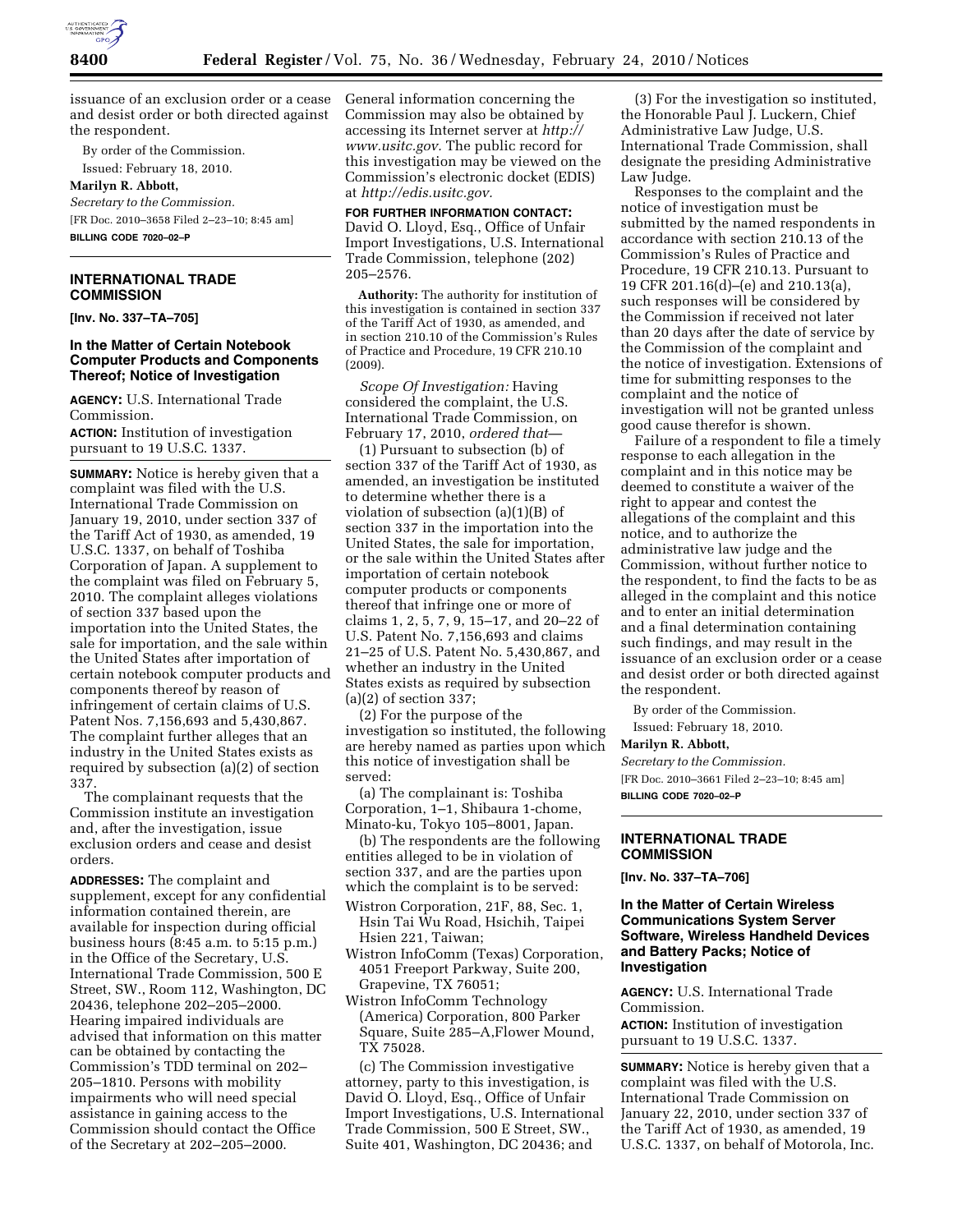

issuance of an exclusion order or a cease and desist order or both directed against the respondent.

By order of the Commission.

Issued: February 18, 2010.

## **Marilyn R. Abbott,**

*Secretary to the Commission.*  [FR Doc. 2010–3658 Filed 2–23–10; 8:45 am] **BILLING CODE 7020–02–P** 

#### **INTERNATIONAL TRADE COMMISSION**

**[Inv. No. 337–TA–705]** 

#### **In the Matter of Certain Notebook Computer Products and Components Thereof; Notice of Investigation**

**AGENCY:** U.S. International Trade Commission.

**ACTION:** Institution of investigation pursuant to 19 U.S.C. 1337.

**SUMMARY:** Notice is hereby given that a complaint was filed with the U.S. International Trade Commission on January 19, 2010, under section 337 of the Tariff Act of 1930, as amended, 19 U.S.C. 1337, on behalf of Toshiba Corporation of Japan. A supplement to the complaint was filed on February 5, 2010. The complaint alleges violations of section 337 based upon the importation into the United States, the sale for importation, and the sale within the United States after importation of certain notebook computer products and components thereof by reason of infringement of certain claims of U.S. Patent Nos. 7,156,693 and 5,430,867. The complaint further alleges that an industry in the United States exists as required by subsection (a)(2) of section 337.

The complainant requests that the Commission institute an investigation and, after the investigation, issue exclusion orders and cease and desist orders.

**ADDRESSES:** The complaint and supplement, except for any confidential information contained therein, are available for inspection during official business hours (8:45 a.m. to 5:15 p.m.) in the Office of the Secretary, U.S. International Trade Commission, 500 E Street, SW., Room 112, Washington, DC 20436, telephone 202–205–2000. Hearing impaired individuals are advised that information on this matter can be obtained by contacting the Commission's TDD terminal on 202– 205–1810. Persons with mobility impairments who will need special assistance in gaining access to the Commission should contact the Office of the Secretary at 202–205–2000.

General information concerning the Commission may also be obtained by accessing its Internet server at *http:// www.usitc.gov.* The public record for this investigation may be viewed on the Commission's electronic docket (EDIS) at *http://edis.usitc.gov.* 

# **FOR FURTHER INFORMATION CONTACT:**

David O. Lloyd, Esq., Office of Unfair Import Investigations, U.S. International Trade Commission, telephone (202) 205–2576.

**Authority:** The authority for institution of this investigation is contained in section 337 of the Tariff Act of 1930, as amended, and in section 210.10 of the Commission's Rules of Practice and Procedure, 19 CFR 210.10 (2009).

*Scope Of Investigation:* Having considered the complaint, the U.S. International Trade Commission, on February 17, 2010, *ordered that*—

(1) Pursuant to subsection (b) of section 337 of the Tariff Act of 1930, as amended, an investigation be instituted to determine whether there is a violation of subsection (a)(1)(B) of section 337 in the importation into the United States, the sale for importation, or the sale within the United States after importation of certain notebook computer products or components thereof that infringe one or more of claims 1, 2, 5, 7, 9, 15–17, and 20–22 of U.S. Patent No. 7,156,693 and claims 21–25 of U.S. Patent No. 5,430,867, and whether an industry in the United States exists as required by subsection (a)(2) of section 337;

(2) For the purpose of the investigation so instituted, the following are hereby named as parties upon which this notice of investigation shall be served:

(a) The complainant is: Toshiba Corporation, 1–1, Shibaura 1-chome, Minato-ku, Tokyo 105–8001, Japan.

(b) The respondents are the following entities alleged to be in violation of section 337, and are the parties upon which the complaint is to be served:

- Wistron Corporation, 21F, 88, Sec. 1, Hsin Tai Wu Road, Hsichih, Taipei Hsien 221, Taiwan;
- Wistron InfoComm (Texas) Corporation, 4051 Freeport Parkway, Suite 200, Grapevine, TX 76051;
- Wistron InfoComm Technology (America) Corporation, 800 Parker Square, Suite 285–A,Flower Mound, TX 75028.

(c) The Commission investigative attorney, party to this investigation, is David O. Lloyd, Esq., Office of Unfair Import Investigations, U.S. International Trade Commission, 500 E Street, SW., Suite 401, Washington, DC 20436; and

(3) For the investigation so instituted, the Honorable Paul J. Luckern, Chief Administrative Law Judge, U.S. International Trade Commission, shall designate the presiding Administrative Law Judge.

Responses to the complaint and the notice of investigation must be submitted by the named respondents in accordance with section 210.13 of the Commission's Rules of Practice and Procedure, 19 CFR 210.13. Pursuant to 19 CFR 201.16(d)–(e) and 210.13(a), such responses will be considered by the Commission if received not later than 20 days after the date of service by the Commission of the complaint and the notice of investigation. Extensions of time for submitting responses to the complaint and the notice of investigation will not be granted unless good cause therefor is shown.

Failure of a respondent to file a timely response to each allegation in the complaint and in this notice may be deemed to constitute a waiver of the right to appear and contest the allegations of the complaint and this notice, and to authorize the administrative law judge and the Commission, without further notice to the respondent, to find the facts to be as alleged in the complaint and this notice and to enter an initial determination and a final determination containing such findings, and may result in the issuance of an exclusion order or a cease and desist order or both directed against the respondent.

By order of the Commission. Issued: February 18, 2010.

#### **Marilyn R. Abbott,**

*Secretary to the Commission.* 

[FR Doc. 2010–3661 Filed 2–23–10; 8:45 am] **BILLING CODE 7020–02–P** 

#### **INTERNATIONAL TRADE COMMISSION**

**[Inv. No. 337–TA–706]** 

#### **In the Matter of Certain Wireless Communications System Server Software, Wireless Handheld Devices and Battery Packs; Notice of Investigation**

**AGENCY:** U.S. International Trade Commission.

**ACTION:** Institution of investigation pursuant to 19 U.S.C. 1337.

**SUMMARY:** Notice is hereby given that a complaint was filed with the U.S. International Trade Commission on January 22, 2010, under section 337 of the Tariff Act of 1930, as amended, 19 U.S.C. 1337, on behalf of Motorola, Inc.